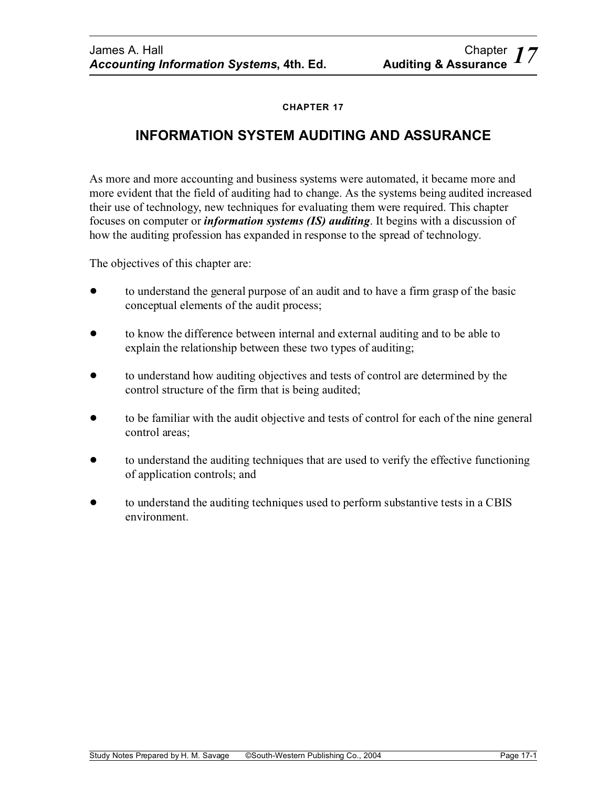### **CHAPTER 17**

# **INFORMATION SYSTEM AUDITING AND ASSURANCE**

As more and more accounting and business systems were automated, it became more and more evident that the field of auditing had to change. As the systems being audited increased their use of technology, new techniques for evaluating them were required. This chapter focuses on computer or *information systems (IS) auditing*. It begins with a discussion of how the auditing profession has expanded in response to the spread of technology.

The objectives of this chapter are:

- ! to understand the general purpose of an audit and to have a firm grasp of the basic conceptual elements of the audit process;
- ! to know the difference between internal and external auditing and to be able to explain the relationship between these two types of auditing;
- ! to understand how auditing objectives and tests of control are determined by the control structure of the firm that is being audited;
- to be familiar with the audit objective and tests of control for each of the nine general control areas;
- ! to understand the auditing techniques that are used to verify the effective functioning of application controls; and
- ! to understand the auditing techniques used to perform substantive tests in a CBIS environment.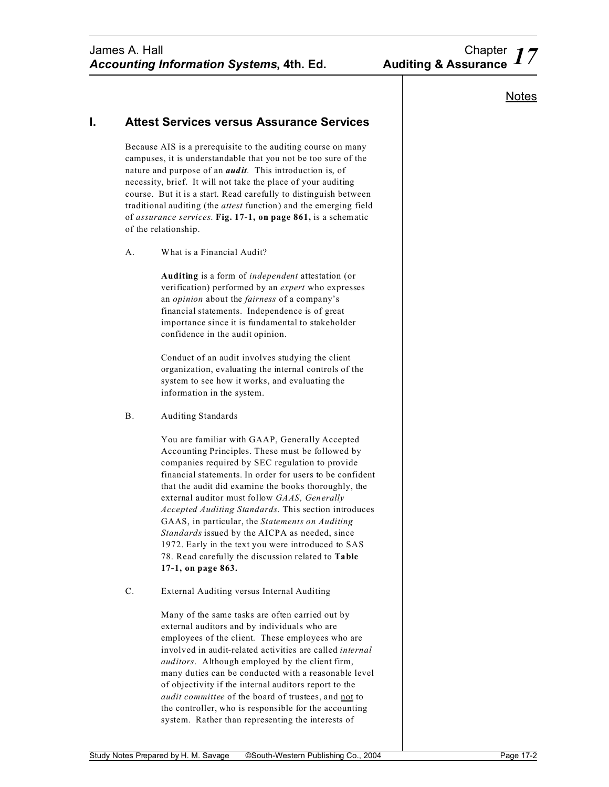#### **I. Attest Services versus Assurance Services**

Because AIS is a prerequisite to the auditing course on many campuses, it is understandable that you not be too sure of the nature and purpose of an *audit*. This introduction is, of necessity, brief. It will not take the place of your auditing course. But it is a start. Read carefully to distinguish between traditional auditing (the *attest* function) and the emerging field of *assurance services*. **Fig. 17-1, on page 861,** is a schematic of the relationship.

A. What is a Financial Audit?

**Auditing** is a form of *independent* attestation (or verification) performed by an *expert* who expresses an *opinion* about the *fairness* of a company's financial statements. Independence is of great importance since it is fundamental to stakeholder confidence in the audit opinion.

Conduct of an audit involves studying the client organization, evaluating the internal controls of the system to see how it works, and evaluating the information in the system.

B. Auditing Standards

You are familiar with GAAP, Generally Accepted Accounting Principles. These must be followed by companies required by SEC regulation to provide financial statements. In order for users to be confident that the audit did examine the books thoroughly, the external auditor must follow *GAAS, Generally Accepted Auditing Standards*. This section introduces GAAS, in particular, the *Statements on Auditing Standards* issued by the AICPA as needed, since 1972. Early in the text you were introduced to SAS 78. Read carefully the discussion related to **Table 17-1, on page 863.**

C. External Auditing versus Internal Auditing

Many of the same tasks are often carried out by external auditors and by individuals who are employees of the client. These employees who are involved in audit-related activities are called *internal auditors*. Although employed by the client firm, many duties can be conducted with a reasonable level of objectivity if the internal auditors report to the *audit committee* of the board of trustees, and not to the controller, who is responsible for the accounting system. Rather than representing the interests of

#### **Notes**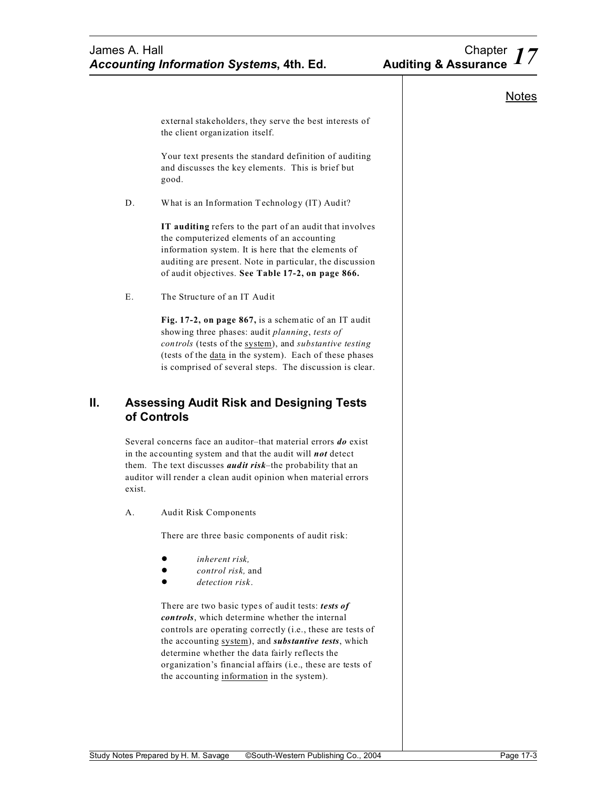# James A. Hall Chapter 17<br>**Accounting Information Systems, 4th. Ed.** Auditing & Assurance 17 **Accounting Information Systems, 4th. Ed.**

|        | external stakeholders, they serve the best interests of<br>the client organization itself.                                                                                                                                                                                                      |  |
|--------|-------------------------------------------------------------------------------------------------------------------------------------------------------------------------------------------------------------------------------------------------------------------------------------------------|--|
|        | Your text presents the standard definition of auditing<br>and discusses the key elements. This is brief but<br>good.                                                                                                                                                                            |  |
| D.     | What is an Information Technology (IT) Audit?                                                                                                                                                                                                                                                   |  |
|        | IT auditing refers to the part of an audit that involves<br>the computerized elements of an accounting<br>information system. It is here that the elements of<br>auditing are present. Note in particular, the discussion<br>of audit objectives. See Table 17-2, on page 866.                  |  |
| Ε.     | The Structure of an IT Audit                                                                                                                                                                                                                                                                    |  |
|        | Fig. 17-2, on page 867, is a schematic of an IT audit<br>showing three phases: audit planning, tests of<br>controls (tests of the system), and substantive testing<br>(tests of the <u>data</u> in the system). Each of these phases<br>is comprised of several steps. The discussion is clear. |  |
|        | <b>Assessing Audit Risk and Designing Tests</b><br>of Controls                                                                                                                                                                                                                                  |  |
| exist. | Several concerns face an auditor-that material errors do exist<br>in the accounting system and that the audit will <i>not</i> detect                                                                                                                                                            |  |
|        | them. The text discusses <i>audit risk</i> -the probability that an<br>auditor will render a clean audit opinion when material errors                                                                                                                                                           |  |
| А.     | <b>Audit Risk Components</b>                                                                                                                                                                                                                                                                    |  |
|        | There are three basic components of audit risk:                                                                                                                                                                                                                                                 |  |
|        | inherent risk.<br>control risk, and<br>detection risk.                                                                                                                                                                                                                                          |  |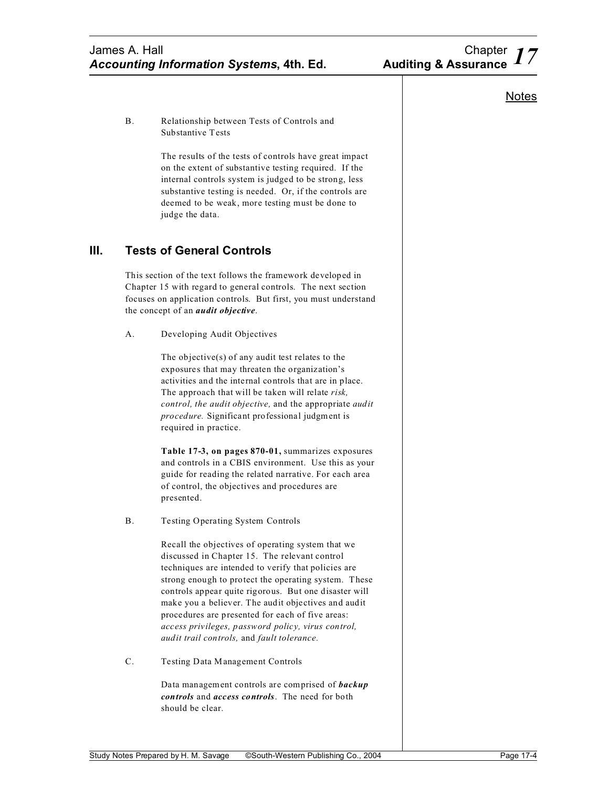**Notes** 

#### B. Relationship between Tests of Controls and Substantive Tests

The results of the tests of controls have great impact on the extent of substantive testing required. If the internal controls system is judged to be strong, less substantive testing is needed. Or, if the controls are deemed to be weak, more testing must be done to judge the data.

# **III. Tests of General Controls**

This section of the text follows the framework developed in Chapter 15 with regard to general controls. The next section focuses on application controls. But first, you must understand the concept of an *audit objective*.

A. Developing Audit Objectives

The objective(s) of any audit test relates to the exposures that may threaten the organization's activities and the internal controls that are in place. The approach that will be taken will relate *risk, control, the audit objective,* and the appropriate *audit procedure.* Significant professional judgment is required in practice.

**Table 17-3, on pages 870-01,** summarizes exposures and controls in a CBIS environment. Use this as your guide for reading the related narrative. For each area of control, the objectives and procedures are presented.

B. Testing Operating System Controls

Recall the objectives of operating system that we discussed in Chapter 15. The relevant control techniques are intended to verify that policies are strong enough to protect the operating system. These controls appear quite rigorous. But one disaster will make you a believer. The audit objectives and audit procedures are presented for each of five areas: *access privileges, password policy, virus control, audit trail controls,* and *fault tolerance.*

C. Testing Data Management Controls

Data management controls are comprised of *backup controls* and *access controls*. The need for both should be clear.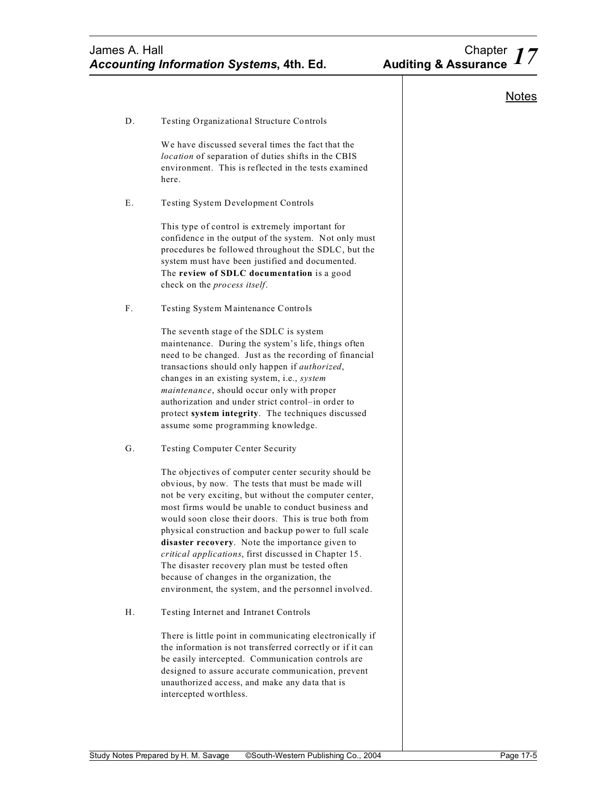**Notes** 

| Testing Organizational Structure Controls<br>D.<br>We have discussed several times the fact that the<br>location of separation of duties shifts in the CBIS<br>environment. This is reflected in the tests examined<br>here.                                                                                                                                                                                                                                                                                                                                                                                    |
|-----------------------------------------------------------------------------------------------------------------------------------------------------------------------------------------------------------------------------------------------------------------------------------------------------------------------------------------------------------------------------------------------------------------------------------------------------------------------------------------------------------------------------------------------------------------------------------------------------------------|
|                                                                                                                                                                                                                                                                                                                                                                                                                                                                                                                                                                                                                 |
|                                                                                                                                                                                                                                                                                                                                                                                                                                                                                                                                                                                                                 |
| Е.<br><b>Testing System Development Controls</b>                                                                                                                                                                                                                                                                                                                                                                                                                                                                                                                                                                |
| This type of control is extremely important for<br>confidence in the output of the system. Not only must<br>procedures be followed throughout the SDLC, but the<br>system must have been justified and documented.<br>The review of SDLC documentation is a good<br>check on the process itself.                                                                                                                                                                                                                                                                                                                |
| F.<br>Testing System Maintenance Controls                                                                                                                                                                                                                                                                                                                                                                                                                                                                                                                                                                       |
| The seventh stage of the SDLC is system<br>maintenance. During the system's life, things often<br>need to be changed. Just as the recording of financial<br>transactions should only happen if authorized,<br>changes in an existing system, i.e., system<br>maintenance, should occur only with proper<br>authorization and under strict control-in order to<br>protect system integrity. The techniques discussed<br>assume some programming knowledge.                                                                                                                                                       |
| G.<br><b>Testing Computer Center Security</b>                                                                                                                                                                                                                                                                                                                                                                                                                                                                                                                                                                   |
| The objectives of computer center security should be<br>obvious, by now. The tests that must be made will<br>not be very exciting, but without the computer center,<br>most firms would be unable to conduct business and<br>would soon close their doors. This is true both from<br>physical construction and backup power to full scale<br>disaster recovery. Note the importance given to<br>critical applications, first discussed in Chapter 15.<br>The disaster recovery plan must be tested often<br>because of changes in the organization, the<br>environment, the system, and the personnel involved. |
| Н.<br>Testing Internet and Intranet Controls                                                                                                                                                                                                                                                                                                                                                                                                                                                                                                                                                                    |

There is little point in communicating electronically if the information is not transferred correctly or if it can be easily intercepted. Communication controls are designed to assure accurate communication, prevent unauthorized access, and make any data that is intercepted worthless.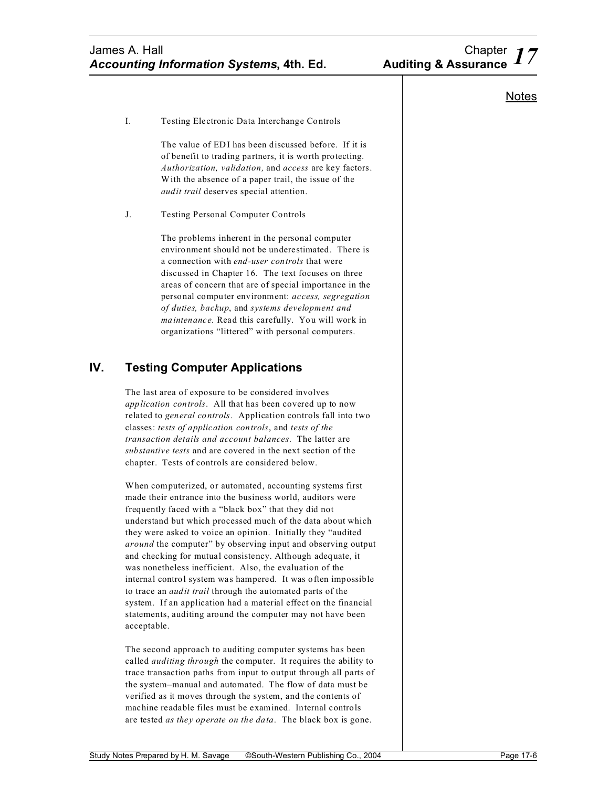I. Testing Electronic Data Interchange Controls

The value of EDI has been discussed before. If it is of benefit to trading partners, it is worth protecting. *Authorization, validation,* and *access* are key factors. With the absence of a paper trail, the issue of the *audit trail* deserves special attention.

J. Testing Personal Computer Controls

The problems inherent in the personal computer environment should not be underestimated. There is a connection with *end-user controls* that were discussed in Chapter 16. The text focuses on three areas of concern that are of special importance in the personal computer environment: *access, segregation of duties, backup*, and *systems development and maintenance.* Read this carefully. You will work in organizations "littered" with personal computers.

# **IV. Testing Computer Applications**

The last area of exposure to be considered involves *application controls*. All that has been covered up to now related to *general controls*. Application controls fall into two classes: *tests of application controls*, and *tests of the transaction details and account balances*. The latter are *substantive tests* and are covered in the next section of the chapter. Tests of controls are considered below.

When computerized, or automated, accounting systems first made their entrance into the business world, auditors were frequently faced with a "black box" that they did not understand but which processed much of the data about which they were asked to voice an opinion. Initially they "audited *around* the computer" by observing input and observing output and checking for mutual consistency. Although adequate, it was nonetheless inefficient. Also, the evaluation of the internal control system was hampered. It was often impossible to trace an *audit trail* through the automated parts of the system. If an application had a material effect on the financial statements, auditing around the computer may not have been acceptable.

The second approach to auditing computer systems has been called *auditing through* the computer. It requires the ability to trace transaction paths from input to output through all parts of the system–manual and automated. The flow of data must be verified as it moves through the system, and the contents of machine readable files must be examined. Internal controls are tested *as they operate on the data*. The black box is gone.

## **Notes**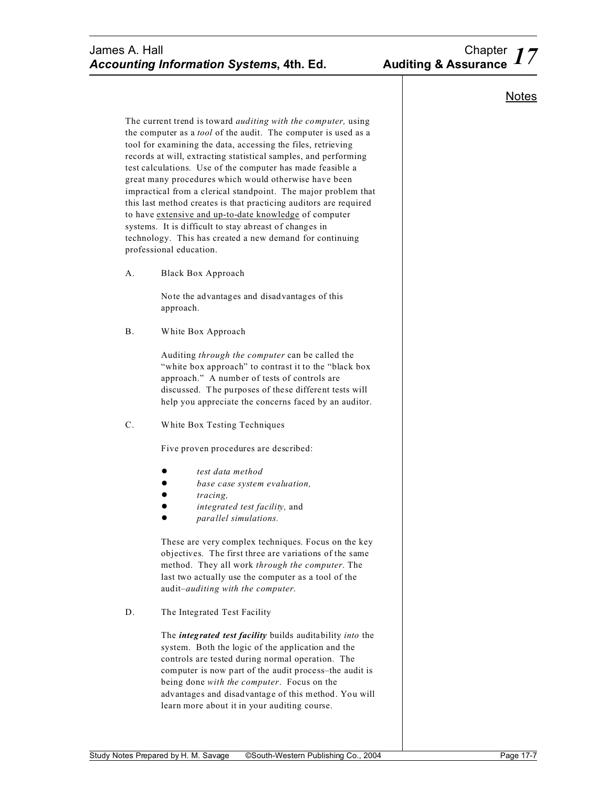# *17* James A. Hall Chapter *Accounting Information Systems***, 4th. Ed. Auditing & Assurance**

**Notes** 

The current trend is toward *auditing with the computer,* using the computer as a *tool* of the audit. The computer is used as a tool for examining the data, accessing the files, retrieving records at will, extracting statistical samples, and performing test calculations. Use of the computer has made feasible a great many procedures which would otherwise have been impractical from a clerical standpoint. The major problem that this last method creates is that practicing auditors are required to have extensive and up-to-date knowledge of computer systems. It is difficult to stay abreast of changes in technology. This has created a new demand for continuing professional education.

A. Black Box Approach

Note the advantages and disadvantages of this approach.

B. White Box Approach

Auditing *through the computer* can be called the "white box approach" to contrast it to the "black box approach." A number of tests of controls are discussed. The purposes of these different tests will help you appreciate the concerns faced by an auditor.

C. White Box Testing Techniques

Five proven procedures are described:

- ! *test data method*
- ! *base case system evaluation,*
- ! *tracing,*
- ! *integrated test facility,* and
- ! *parallel simulations.*

These are very complex techniques. Focus on the key objectives. The first three are variations of the same method. They all work *through the computer*. The last two actually use the computer as a tool of the audit–*auditing with the computer*.

D. The Integrated Test Facility

The *integrated test facility* builds auditability *into* the system. Both the logic of the application and the controls are tested during normal operation. The computer is now part of the audit process–the audit is being done *with the computer*. Focus on the advantages and disadvantage of this method. You will learn more about it in your auditing course.